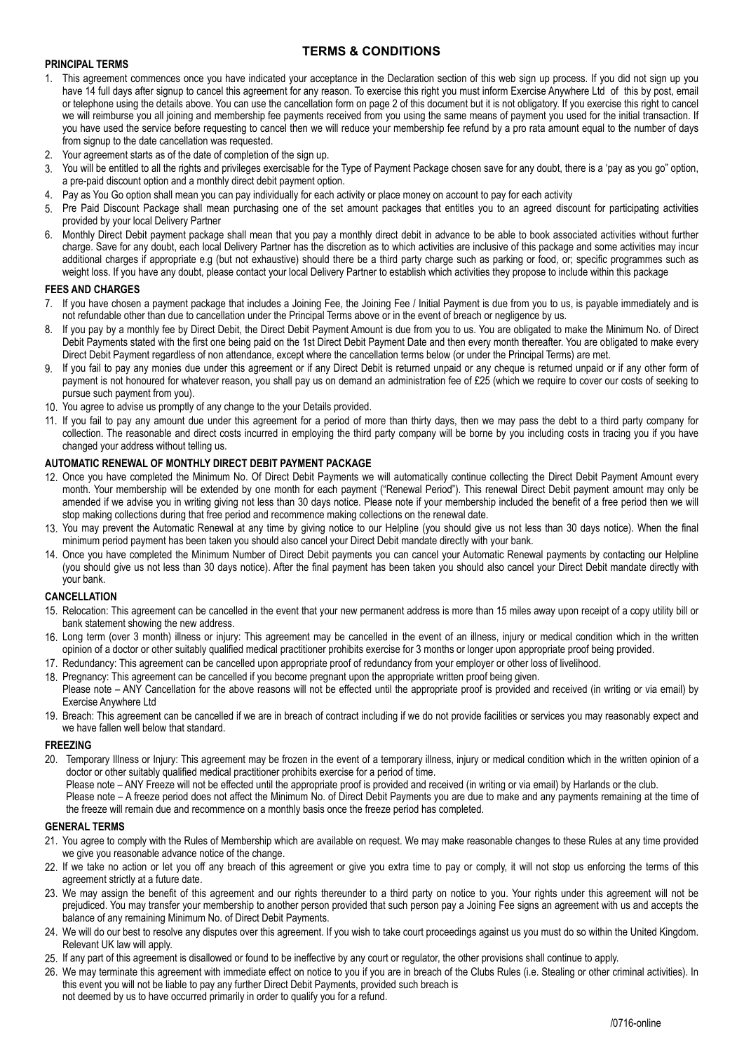## **TERMS & CONDITIONS**

### **PRINCIPAL TERMS**

- 1. This agreement commences once you have indicated your acceptance in the Declaration section of this web sign up process. If you did not sign up you have 14 full days after signup to cancel this agreement for any reason. To exercise this right you must inform Exercise Anywhere Ltd of this by post, email or telephone using the details above. You can use the cancellation form on page 2 of this document but it is not obligatory. If you exercise this right to cancel we will reimburse you all joining and membership fee payments received from you using the same means of payment you used for the initial transaction. If you have used the service before requesting to cancel then we will reduce your membership fee refund by a pro rata amount equal to the number of days from signup to the date cancellation was requested.
- 2. Your agreement starts as of the date of completion of the sign up.
- You will be entitled to all the rights and privileges exercisable for the Type of Payment Package chosen save for any doubt, there is a 'pay as you go" option, a pre-paid discount option and a monthly direct debit payment option.
- 4. Pay as You Go option shall mean you can pay individually for each activity or place money on account to pay for each activity
- 5. Pre Paid Discount Package shall mean purchasing one of the set amount packages that entitles you to an agreed discount for participating activities provided by your local Delivery Partner
- 6. Monthly Direct Debit payment package shall mean that you pay a monthly direct debit in advance to be able to book associated activities without further charge. Save for any doubt, each local Delivery Partner has the discretion as to which activities are inclusive of this package and some activities may incur additional charges if appropriate e.g (but not exhaustive) should there be a third party charge such as parking or food, or; specific programmes such as weight loss. If you have any doubt, please contact your local Delivery Partner to establish which activities they propose to include within this package

#### **FEES AND CHARGES**

- 7. If you have chosen a payment package that includes a Joining Fee, the Joining Fee / Initial Payment is due from you to us, is payable immediately and is not refundable other than due to cancellation under the Principal Terms above or in the event of breach or negligence by us.
- 8. If you pay by a monthly fee by Direct Debit, the Direct Debit Payment Amount is due from you to us. You are obligated to make the Minimum No. of Direct Debit Payments stated with the first one being paid on the 1st Direct Debit Payment Date and then every month thereafter. You are obligated to make every Direct Debit Payment regardless of non attendance, except where the cancellation terms below (or under the Principal Terms) are met.
- 9. If you fail to pay any monies due under this agreement or if any Direct Debit is returned unpaid or any cheque is returned unpaid or if any other form of payment is not honoured for whatever reason, you shall pay us on demand an administration fee of £25 (which we require to cover our costs of seeking to pursue such payment from you).
- 10. You agree to advise us promptly of any change to the your Details provided.
- 11. If you fail to pay any amount due under this agreement for a period of more than thirty days, then we may pass the debt to a third party company for collection. The reasonable and direct costs incurred in employing the third party company will be borne by you including costs in tracing you if you have changed your address without telling us.

#### **AUTOMATIC RENEWAL OF MONTHLY DIRECT DEBIT PAYMENT PACKAGE**

- 12. Once you have completed the Minimum No. Of Direct Debit Payments we will automatically continue collecting the Direct Debit Payment Amount every month. Your membership will be extended by one month for each payment ("Renewal Period"). This renewal Direct Debit payment amount may only be amended if we advise you in writing giving not less than 30 days notice. Please note if your membership included the benefit of a free period then we will stop making collections during that free period and recommence making collections on the renewal date.
- 13. You may prevent the Automatic Renewal at any time by giving notice to our Helpline (you should give us not less than 30 days notice). When the final minimum period payment has been taken you should also cancel your Direct Debit mandate directly with your bank.
- 14. Once you have completed the Minimum Number of Direct Debit payments you can cancel your Automatic Renewal payments by contacting our Helpline (you should give us not less than 30 days notice). After the final payment has been taken you should also cancel your Direct Debit mandate directly with your bank.

#### **CANCELLATION**

- 15. Relocation: This agreement can be cancelled in the event that your new permanent address is more than 15 miles away upon receipt of a copy utility bill or bank statement showing the new address.
- 16. Long term (over 3 month) illness or injury: This agreement may be cancelled in the event of an illness, injury or medical condition which in the written opinion of a doctor or other suitably qualified medical practitioner prohibits exercise for 3 months or longer upon appropriate proof being provided.
- 17. Redundancy: This agreement can be cancelled upon appropriate proof of redundancy from your employer or other loss of livelihood.
- 18. Pregnancy: This agreement can be cancelled if you become pregnant upon the appropriate written proof being given. Please note – ANY Cancellation for the above reasons will not be effected until the appropriate proof is provided and received (in writing or via email) by Exercise Anywhere Ltd
- 19. Breach: This agreement can be cancelled if we are in breach of contract including if we do not provide facilities or services you may reasonably expect and we have fallen well below that standard.

#### **FREEZING**

20. Temporary Illness or Injury: This agreement may be frozen in the event of a temporary illness, injury or medical condition which in the written opinion of a doctor or other suitably qualified medical practitioner prohibits exercise for a period of time.

Please note – ANY Freeze will not be effected until the appropriate proof is provided and received (in writing or via email) by Harlands or the club. Please note – A freeze period does not affect the Minimum No. of Direct Debit Payments you are due to make and any payments remaining at the time of the freeze will remain due and recommence on a monthly basis once the freeze period has completed.

#### **GENERAL TERMS**

- 21. You agree to comply with the Rules of Membership which are available on request. We may make reasonable changes to these Rules at any time provided we give you reasonable advance notice of the change.
- 22. If we take no action or let you off any breach of this agreement or give you extra time to pay or comply, it will not stop us enforcing the terms of this agreement strictly at a future date.
- 23. We may assign the benefit of this agreement and our rights thereunder to a third party on notice to you. Your rights under this agreement will not be prejudiced. You may transfer your membership to another person provided that such person pay a Joining Fee signs an agreement with us and accepts the balance of any remaining Minimum No. of Direct Debit Payments.
- 24. We will do our best to resolve any disputes over this agreement. If you wish to take court proceedings against us you must do so within the United Kingdom. Relevant UK law will apply.
- 25. If any part of this agreement is disallowed or found to be ineffective by any court or regulator, the other provisions shall continue to apply.
- 26. We may terminate this agreement with immediate effect on notice to you if you are in breach of the Clubs Rules (i.e. Stealing or other criminal activities). In this event you will not be liable to pay any further Direct Debit Payments, provided such breach is not deemed by us to have occurred primarily in order to qualify you for a refund.